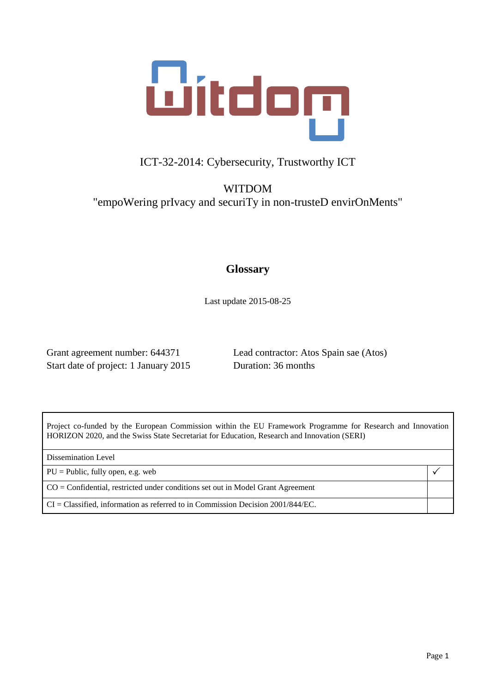

## ICT-32-2014: Cybersecurity, Trustworthy ICT

WITDOM "empoWering prIvacy and securiTy in non-trusteD envirOnMents"

### **Glossary**

Last update 2015-08-25

Start date of project: 1 January 2015 Duration: 36 months

Grant agreement number: 644371 Lead contractor: Atos Spain sae (Atos)

Project co-funded by the European Commission within the EU Framework Programme for Research and Innovation HORIZON 2020, and the Swiss State Secretariat for Education, Research and Innovation (SERI)

Dissemination Level

 $PU = Public$ , fully open, e.g. web  $\left| \sqrt{\phantom{a}} \right|$ 

CO = Confidential, restricted under conditions set out in Model Grant Agreement

CI = Classified, information as referred to in Commission Decision 2001/844/EC.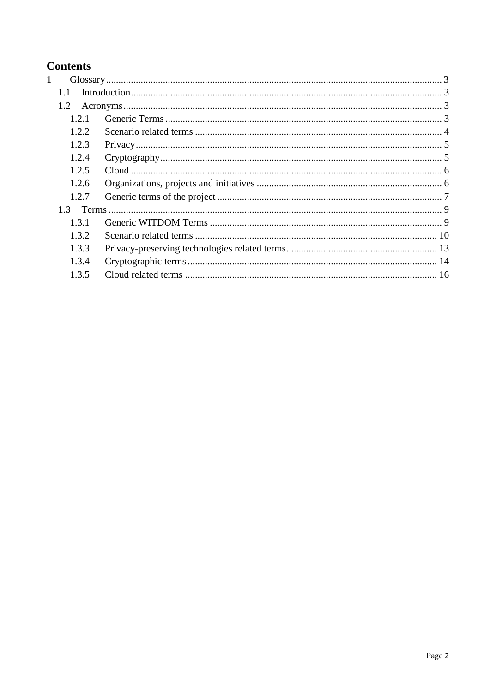## **Contents**

| $\mathbf{1}$ |        |  |  |
|--------------|--------|--|--|
|              | 1.1    |  |  |
|              | 1.2    |  |  |
|              | 1.2.1  |  |  |
|              | 1.2.2. |  |  |
|              | 1.2.3  |  |  |
|              | 1.2.4  |  |  |
|              | 1.2.5  |  |  |
|              | 1.2.6  |  |  |
|              | 1.2.7  |  |  |
|              |        |  |  |
|              | 1.3.1  |  |  |
|              | 1.3.2  |  |  |
|              | 1.3.3  |  |  |
|              | 1.3.4  |  |  |
|              | 1.3.5  |  |  |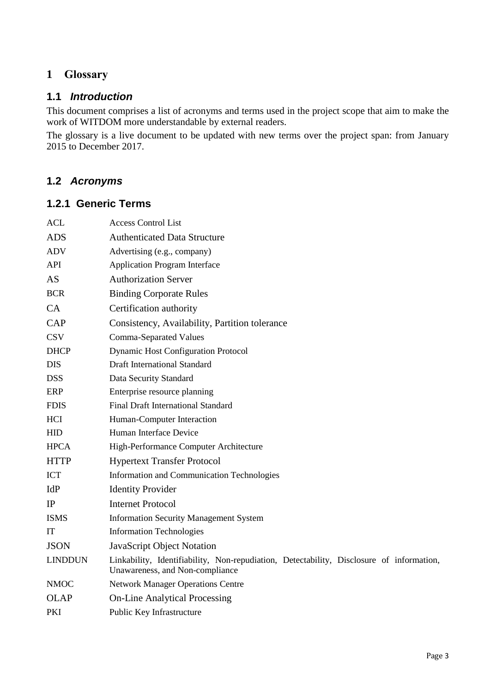### <span id="page-2-0"></span>**1 Glossary**

#### <span id="page-2-1"></span>**1.1** *Introduction*

This document comprises a list of acronyms and terms used in the project scope that aim to make the work of WITDOM more understandable by external readers.

The glossary is a live document to be updated with new terms over the project span: from January 2015 to December 2017.

#### <span id="page-2-2"></span>**1.2** *Acronyms*

#### <span id="page-2-3"></span>**1.2.1 Generic Terms**

| <b>ACL</b>     | <b>Access Control List</b>                                                                                                  |
|----------------|-----------------------------------------------------------------------------------------------------------------------------|
| <b>ADS</b>     | <b>Authenticated Data Structure</b>                                                                                         |
| <b>ADV</b>     | Advertising (e.g., company)                                                                                                 |
| API            | <b>Application Program Interface</b>                                                                                        |
| AS             | <b>Authorization Server</b>                                                                                                 |
| <b>BCR</b>     | <b>Binding Corporate Rules</b>                                                                                              |
| <b>CA</b>      | Certification authority                                                                                                     |
| <b>CAP</b>     | Consistency, Availability, Partition tolerance                                                                              |
| <b>CSV</b>     | <b>Comma-Separated Values</b>                                                                                               |
| <b>DHCP</b>    | <b>Dynamic Host Configuration Protocol</b>                                                                                  |
| <b>DIS</b>     | <b>Draft International Standard</b>                                                                                         |
| <b>DSS</b>     | Data Security Standard                                                                                                      |
| <b>ERP</b>     | Enterprise resource planning                                                                                                |
| <b>FDIS</b>    | <b>Final Draft International Standard</b>                                                                                   |
| <b>HCI</b>     | Human-Computer Interaction                                                                                                  |
| HID            | Human Interface Device                                                                                                      |
| <b>HPCA</b>    | High-Performance Computer Architecture                                                                                      |
| <b>HTTP</b>    | <b>Hypertext Transfer Protocol</b>                                                                                          |
| ICT            | Information and Communication Technologies                                                                                  |
| IdP            | <b>Identity Provider</b>                                                                                                    |
| IP             | <b>Internet Protocol</b>                                                                                                    |
| <b>ISMS</b>    | <b>Information Security Management System</b>                                                                               |
| IT             | <b>Information Technologies</b>                                                                                             |
| <b>JSON</b>    | JavaScript Object Notation                                                                                                  |
| <b>LINDDUN</b> | Linkability, Identifiability, Non-repudiation, Detectability, Disclosure of information,<br>Unawareness, and Non-compliance |
| <b>NMOC</b>    | <b>Network Manager Operations Centre</b>                                                                                    |
| <b>OLAP</b>    | <b>On-Line Analytical Processing</b>                                                                                        |
| PKI            | Public Key Infrastructure                                                                                                   |
|                |                                                                                                                             |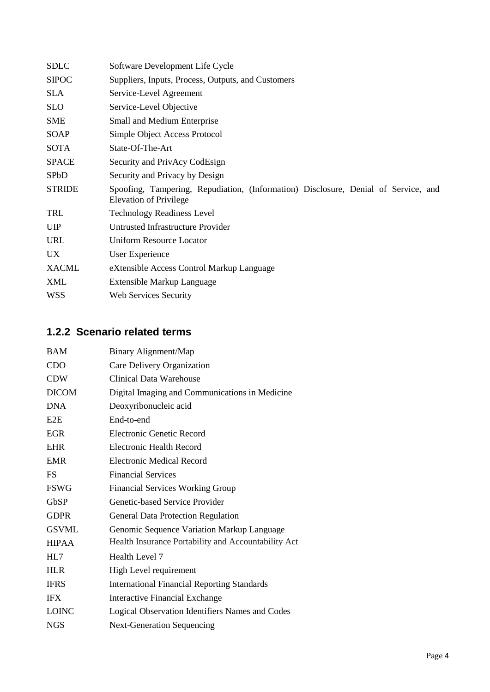| <b>SDLC</b>   | Software Development Life Cycle                                                                                     |  |  |
|---------------|---------------------------------------------------------------------------------------------------------------------|--|--|
| <b>SIPOC</b>  | Suppliers, Inputs, Process, Outputs, and Customers                                                                  |  |  |
| <b>SLA</b>    | Service-Level Agreement                                                                                             |  |  |
| <b>SLO</b>    | Service-Level Objective                                                                                             |  |  |
| <b>SME</b>    | Small and Medium Enterprise                                                                                         |  |  |
| <b>SOAP</b>   | Simple Object Access Protocol                                                                                       |  |  |
| <b>SOTA</b>   | State-Of-The-Art                                                                                                    |  |  |
| <b>SPACE</b>  | Security and PrivAcy CodEsign                                                                                       |  |  |
| <b>SPbD</b>   | Security and Privacy by Design                                                                                      |  |  |
| <b>STRIDE</b> | Spoofing, Tampering, Repudiation, (Information) Disclosure, Denial of Service, and<br><b>Elevation of Privilege</b> |  |  |
| TRL           | <b>Technology Readiness Level</b>                                                                                   |  |  |
| <b>UIP</b>    | <b>Untrusted Infrastructure Provider</b>                                                                            |  |  |
| <b>URL</b>    | <b>Uniform Resource Locator</b>                                                                                     |  |  |
|               |                                                                                                                     |  |  |
| <b>UX</b>     | User Experience                                                                                                     |  |  |
| <b>XACML</b>  | eXtensible Access Control Markup Language                                                                           |  |  |
| XML           | Extensible Markup Language                                                                                          |  |  |

## <span id="page-3-0"></span>**1.2.2 Scenario related terms**

| <b>BAM</b>   | Binary Alignment/Map                                |
|--------------|-----------------------------------------------------|
| <b>CDO</b>   | Care Delivery Organization                          |
| <b>CDW</b>   | Clinical Data Warehouse                             |
| <b>DICOM</b> | Digital Imaging and Communications in Medicine      |
| <b>DNA</b>   | Deoxyribonucleic acid                               |
| E2E          | End-to-end                                          |
| <b>EGR</b>   | <b>Electronic Genetic Record</b>                    |
| <b>EHR</b>   | Electronic Health Record                            |
| <b>EMR</b>   | Electronic Medical Record                           |
| <b>FS</b>    | <b>Financial Services</b>                           |
| <b>FSWG</b>  | <b>Financial Services Working Group</b>             |
| GbSP         | Genetic-based Service Provider                      |
| <b>GDPR</b>  | <b>General Data Protection Regulation</b>           |
| <b>GSVML</b> | Genomic Sequence Variation Markup Language          |
| <b>HIPAA</b> | Health Insurance Portability and Accountability Act |
| HL7          | Health Level 7                                      |
| <b>HLR</b>   | High Level requirement                              |
| <b>IFRS</b>  | <b>International Financial Reporting Standards</b>  |
| <b>IFX</b>   | <b>Interactive Financial Exchange</b>               |
| <b>LOINC</b> | Logical Observation Identifiers Names and Codes     |
| <b>NGS</b>   | <b>Next-Generation Sequencing</b>                   |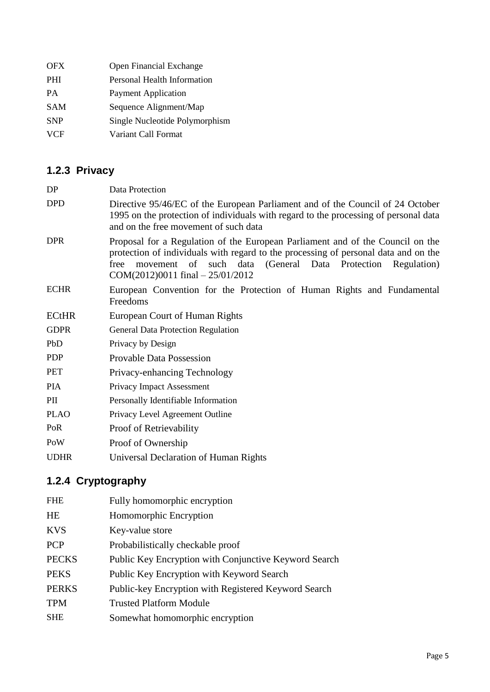| <b>OFX</b> | <b>Open Financial Exchange</b> |
|------------|--------------------------------|
| <b>PHI</b> | Personal Health Information    |
| <b>PA</b>  | <b>Payment Application</b>     |
| <b>SAM</b> | Sequence Alignment/Map         |
| <b>SNP</b> | Single Nucleotide Polymorphism |
| <b>VCF</b> | Variant Call Format            |
|            |                                |

# <span id="page-4-0"></span>**1.2.3 Privacy**

| DP           | Data Protection                                                                                                                                                                                                                                                                  |
|--------------|----------------------------------------------------------------------------------------------------------------------------------------------------------------------------------------------------------------------------------------------------------------------------------|
| <b>DPD</b>   | Directive 95/46/EC of the European Parliament and of the Council of 24 October<br>1995 on the protection of individuals with regard to the processing of personal data<br>and on the free movement of such data                                                                  |
| <b>DPR</b>   | Proposal for a Regulation of the European Parliament and of the Council on the<br>protection of individuals with regard to the processing of personal data and on the<br>movement of such data (General Data Protection Regulation)<br>free<br>COM(2012)0011 final $-25/01/2012$ |
| <b>ECHR</b>  | European Convention for the Protection of Human Rights and Fundamental<br>Freedoms                                                                                                                                                                                               |
| <b>ECtHR</b> | <b>European Court of Human Rights</b>                                                                                                                                                                                                                                            |
| <b>GDPR</b>  | <b>General Data Protection Regulation</b>                                                                                                                                                                                                                                        |
| PbD          | Privacy by Design                                                                                                                                                                                                                                                                |
| <b>PDP</b>   | <b>Provable Data Possession</b>                                                                                                                                                                                                                                                  |
| <b>PET</b>   | Privacy-enhancing Technology                                                                                                                                                                                                                                                     |
| <b>PIA</b>   | Privacy Impact Assessment                                                                                                                                                                                                                                                        |
| PII          | Personally Identifiable Information                                                                                                                                                                                                                                              |
| <b>PLAO</b>  | Privacy Level Agreement Outline                                                                                                                                                                                                                                                  |
| PoR          | Proof of Retrievability                                                                                                                                                                                                                                                          |
| PoW          | Proof of Ownership                                                                                                                                                                                                                                                               |

UDHR Universal Declaration of Human Rights

# <span id="page-4-1"></span>**1.2.4 Cryptography**

| <b>FHE</b>   | Fully homomorphic encryption                          |
|--------------|-------------------------------------------------------|
| HE           | Homomorphic Encryption                                |
| <b>KVS</b>   | Key-value store                                       |
| <b>PCP</b>   | Probabilistically checkable proof                     |
| <b>PECKS</b> | Public Key Encryption with Conjunctive Keyword Search |
| <b>PEKS</b>  | Public Key Encryption with Keyword Search             |
| <b>PERKS</b> | Public-key Encryption with Registered Keyword Search  |
| <b>TPM</b>   | <b>Trusted Platform Module</b>                        |
| <b>SHE</b>   | Somewhat homomorphic encryption                       |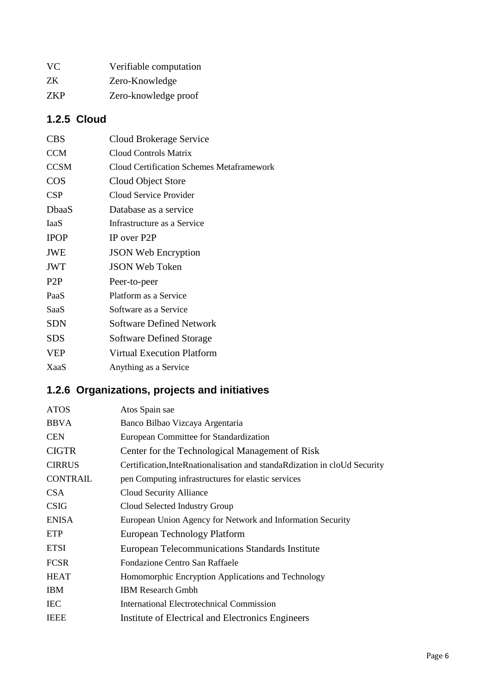| VC.        | Verifiable computation |
|------------|------------------------|
| ZK.        | Zero-Knowledge         |
| <b>ZKP</b> | Zero-knowledge proof   |

## <span id="page-5-0"></span>**1.2.5 Cloud**

| <b>CBS</b>       | Cloud Brokerage Service                          |
|------------------|--------------------------------------------------|
| <b>CCM</b>       | Cloud Controls Matrix                            |
| <b>CCSM</b>      | <b>Cloud Certification Schemes Metaframework</b> |
| <b>COS</b>       | Cloud Object Store                               |
| <b>CSP</b>       | Cloud Service Provider                           |
| DbaaS            | Database as a service                            |
| <b>IaaS</b>      | Infrastructure as a Service                      |
| <b>IPOP</b>      | IP over P2P                                      |
| <b>JWE</b>       | <b>JSON Web Encryption</b>                       |
| <b>JWT</b>       | <b>JSON Web Token</b>                            |
| P <sub>2</sub> P | Peer-to-peer                                     |
| PaaS             | Platform as a Service                            |
| SaaS             | Software as a Service                            |
| SDN              | Software Defined Network                         |
| SDS              | Software Defined Storage                         |
| <b>VEP</b>       | <b>Virtual Execution Platform</b>                |
| <b>XaaS</b>      | Anything as a Service                            |
|                  |                                                  |

# <span id="page-5-1"></span>**1.2.6 Organizations, projects and initiatives**

| <b>ATOS</b>     | Atos Spain sae                                                            |
|-----------------|---------------------------------------------------------------------------|
| <b>BBVA</b>     | Banco Bilbao Vizcaya Argentaria                                           |
| <b>CEN</b>      | European Committee for Standardization                                    |
| <b>CIGTR</b>    | Center for the Technological Management of Risk                           |
| <b>CIRRUS</b>   | Certification, InteRnationalisation and standaRdization in cloUd Security |
| <b>CONTRAIL</b> | pen Computing infrastructures for elastic services                        |
| <b>CSA</b>      | Cloud Security Alliance                                                   |
| <b>CSIG</b>     | Cloud Selected Industry Group                                             |
| <b>ENISA</b>    | European Union Agency for Network and Information Security                |
| ETP             | European Technology Platform                                              |
| <b>ETSI</b>     | European Telecommunications Standards Institute                           |
| <b>FCSR</b>     | Fondazione Centro San Raffaele                                            |
| <b>HEAT</b>     | Homomorphic Encryption Applications and Technology                        |
| <b>IBM</b>      | <b>IBM Research Gmbh</b>                                                  |
| <b>IEC</b>      | International Electrotechnical Commission                                 |
| <b>IEEE</b>     | Institute of Electrical and Electronics Engineers                         |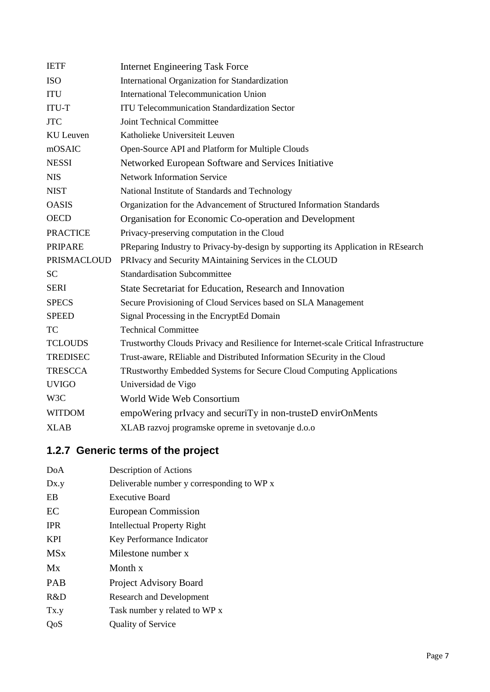| <b>IETF</b>        | <b>Internet Engineering Task Force</b>                                               |
|--------------------|--------------------------------------------------------------------------------------|
| <b>ISO</b>         | International Organization for Standardization                                       |
| <b>ITU</b>         | <b>International Telecommunication Union</b>                                         |
| <b>ITU-T</b>       | <b>ITU Telecommunication Standardization Sector</b>                                  |
| <b>JTC</b>         | Joint Technical Committee                                                            |
| <b>KU</b> Leuven   | Katholieke Universiteit Leuven                                                       |
| mOSAIC             | Open-Source API and Platform for Multiple Clouds                                     |
| <b>NESSI</b>       | Networked European Software and Services Initiative                                  |
| <b>NIS</b>         | <b>Network Information Service</b>                                                   |
| <b>NIST</b>        | National Institute of Standards and Technology                                       |
| <b>OASIS</b>       | Organization for the Advancement of Structured Information Standards                 |
| <b>OECD</b>        | Organisation for Economic Co-operation and Development                               |
| <b>PRACTICE</b>    | Privacy-preserving computation in the Cloud                                          |
| <b>PRIPARE</b>     | PReparing Industry to Privacy-by-design by supporting its Application in REsearch    |
| <b>PRISMACLOUD</b> | PRIvacy and Security MAintaining Services in the CLOUD                               |
| <b>SC</b>          | <b>Standardisation Subcommittee</b>                                                  |
| <b>SERI</b>        | State Secretariat for Education, Research and Innovation                             |
| <b>SPECS</b>       | Secure Provisioning of Cloud Services based on SLA Management                        |
| <b>SPEED</b>       | Signal Processing in the EncryptEd Domain                                            |
| <b>TC</b>          | <b>Technical Committee</b>                                                           |
| <b>TCLOUDS</b>     | Trustworthy Clouds Privacy and Resilience for Internet-scale Critical Infrastructure |
| <b>TREDISEC</b>    | Trust-aware, REIable and Distributed Information SEcurity in the Cloud               |
| <b>TRESCCA</b>     | TRustworthy Embedded Systems for Secure Cloud Computing Applications                 |
| <b>UVIGO</b>       | Universidad de Vigo                                                                  |
| W3C                | World Wide Web Consortium                                                            |
| <b>WITDOM</b>      | empoWering prIvacy and securiTy in non-trusteD envirOnMents                          |
| <b>XLAB</b>        | XLAB razvoj programske opreme in svetovanje d.o.o                                    |

# <span id="page-6-0"></span>**1.2.7 Generic terms of the project**

| DoA         | Description of Actions                     |
|-------------|--------------------------------------------|
| Dx.y        | Deliverable number y corresponding to WP x |
| EB          | <b>Executive Board</b>                     |
| EC          | European Commission                        |
| <b>IPR</b>  | Intellectual Property Right                |
| <b>KPI</b>  | Key Performance Indicator                  |
| <b>MS</b> x | Milestone number x                         |
| Mx          | Month x                                    |
| <b>PAB</b>  | <b>Project Advisory Board</b>              |
| R&D         | <b>Research and Development</b>            |
| Tx.y        | Task number y related to WP x              |
| OoS         | <b>Quality of Service</b>                  |
|             |                                            |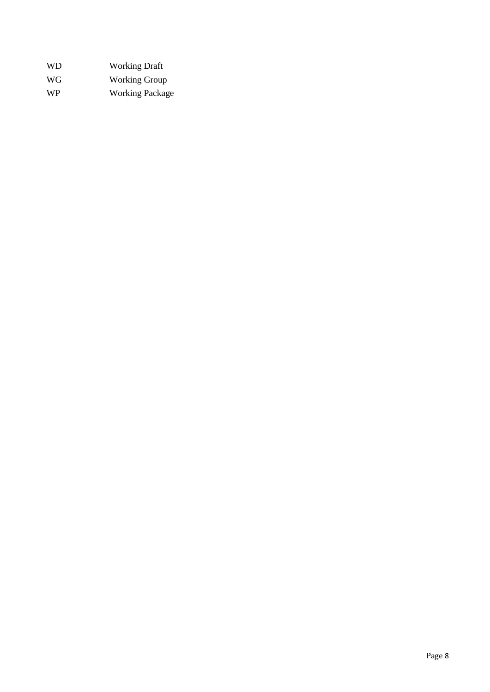| WD.       | <b>Working Draft</b>   |
|-----------|------------------------|
| WG.       | <b>Working Group</b>   |
| <b>WP</b> | <b>Working Package</b> |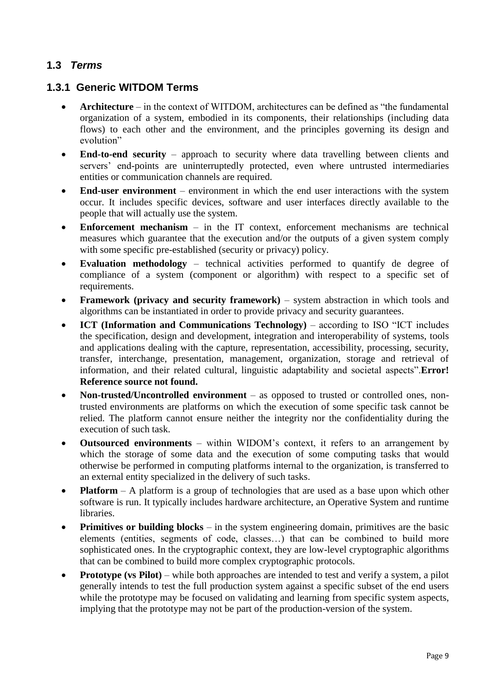### <span id="page-8-0"></span>**1.3** *Terms*

#### <span id="page-8-1"></span>**1.3.1 Generic WITDOM Terms**

- **Architecture**  in the context of WITDOM, architectures can be defined as "the fundamental organization of a system, embodied in its components, their relationships (including data flows) to each other and the environment, and the principles governing its design and evolution"
- **End-to-end security** approach to security where data travelling between clients and servers' end-points are uninterruptedly protected, even where untrusted intermediaries entities or communication channels are required.
- **End-user environment** environment in which the end user interactions with the system occur. It includes specific devices, software and user interfaces directly available to the people that will actually use the system.
- **Enforcement mechanism** in the IT context, enforcement mechanisms are technical measures which guarantee that the execution and/or the outputs of a given system comply with some specific pre-established (security or privacy) policy.
- **Evaluation methodology** technical activities performed to quantify de degree of compliance of a system (component or algorithm) with respect to a specific set of requirements.
- **Framework (privacy and security framework)** system abstraction in which tools and algorithms can be instantiated in order to provide privacy and security guarantees.
- **ICT (Information and Communications Technology)** according to ISO "ICT includes the specification, design and development, integration and interoperability of systems, tools and applications dealing with the capture, representation, accessibility, processing, security, transfer, interchange, presentation, management, organization, storage and retrieval of information, and their related cultural, linguistic adaptability and societal aspects".**Error! Reference source not found.**
- **Non-trusted/Uncontrolled environment** as opposed to trusted or controlled ones, nontrusted environments are platforms on which the execution of some specific task cannot be relied. The platform cannot ensure neither the integrity nor the confidentiality during the execution of such task.
- **Outsourced environments** within WIDOM's context, it refers to an arrangement by which the storage of some data and the execution of some computing tasks that would otherwise be performed in computing platforms internal to the organization, is transferred to an external entity specialized in the delivery of such tasks.
- **Platform** A platform is a group of technologies that are used as a base upon which other software is run. It typically includes hardware architecture, an Operative System and runtime libraries.
- **Primitives or building blocks** in the system engineering domain, primitives are the basic elements (entities, segments of code, classes…) that can be combined to build more sophisticated ones. In the cryptographic context, they are low-level cryptographic algorithms that can be combined to build more complex cryptographic protocols.
- **Prototype (vs Pilot)** while both approaches are intended to test and verify a system, a pilot generally intends to test the full production system against a specific subset of the end users while the prototype may be focused on validating and learning from specific system aspects, implying that the prototype may not be part of the production-version of the system.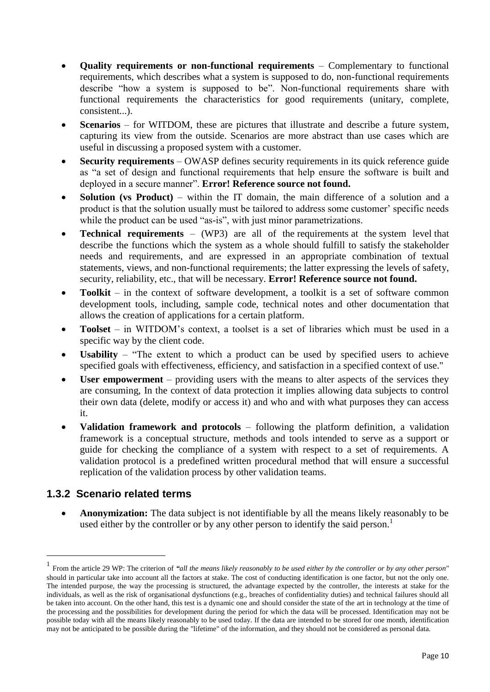- **Quality requirements or non-functional requirements** Complementary to functional requirements, which describes what a system is supposed to do, non-functional requirements describe "how a system is supposed to be". Non-functional requirements share with functional requirements the characteristics for good requirements (unitary, complete, consistent...).
- **Scenarios** for WITDOM, these are pictures that illustrate and describe a future system, capturing its view from the outside. Scenarios are more abstract than use cases which are useful in discussing a proposed system with a customer.
- **Security requirements** OWASP defines security requirements in its quick reference guide as "a set of design and functional requirements that help ensure the software is built and deployed in a secure manner". **Error! Reference source not found.**
- **Solution (vs Product)** within the IT domain, the main difference of a solution and a product is that the solution usually must be tailored to address some customer' specific needs while the product can be used "as-is", with just minor parametrizations.
- **Technical [requirements](http://sebokwiki.org/wiki/Requirement_(glossary))** (WP3) are all of the requirements at the system level that describe the functions which the system as a whole should fulfill to satisfy the [stakeholder](http://sebokwiki.org/wiki/Stakeholder_Requirement_(glossary))  [needs and requirements,](http://sebokwiki.org/wiki/Stakeholder_Requirement_(glossary)) and are expressed in an appropriate combination of textual statements, views, and non-functional requirements; the latter expressing the levels of safety, security, reliability, etc., that will be necessary. **Error! Reference source not found.**
- **Toolkit**  in the context of software development, a toolkit is a set of software common development tools, including, sample code, technical notes and other documentation that allows the creation of applications for a certain platform.
- **Toolset** in WITDOM's context, a toolset is a set of libraries which must be used in a specific way by the client code.
- **Usability**  "The extent to which a product can be used by specified users to achieve specified goals with effectiveness, efficiency, and satisfaction in a specified context of use."
- **User empowerment** providing users with the means to alter aspects of the services they are consuming, In the context of data protection it implies allowing data subjects to control their own data (delete, modify or access it) and who and with what purposes they can access it.
- **Validation framework and protocols** following the platform definition, a validation framework is a conceptual structure, methods and tools intended to serve as a support or guide for checking the compliance of a system with respect to a set of requirements. A validation protocol is a predefined written procedural method that will ensure a successful replication of the validation process by other validation teams.

#### <span id="page-9-0"></span>**1.3.2 Scenario related terms**

<u>.</u>

 **Anonymization:** The data subject is not identifiable by all the means likely reasonably to be used either by the controller or by any other person to identify the said person.<sup>1</sup>

<sup>1</sup> From the article 29 WP: The criterion of *"all the means likely reasonably to be used either by the controller or by any other person*" should in particular take into account all the factors at stake. The cost of conducting identification is one factor, but not the only one. The intended purpose, the way the processing is structured, the advantage expected by the controller, the interests at stake for the individuals, as well as the risk of organisational dysfunctions (e.g., breaches of confidentiality duties) and technical failures should all be taken into account. On the other hand, this test is a dynamic one and should consider the state of the art in technology at the time of the processing and the possibilities for development during the period for which the data will be processed. Identification may not be possible today with all the means likely reasonably to be used today. If the data are intended to be stored for one month, identification may not be anticipated to be possible during the "lifetime" of the information, and they should not be considered as personal data.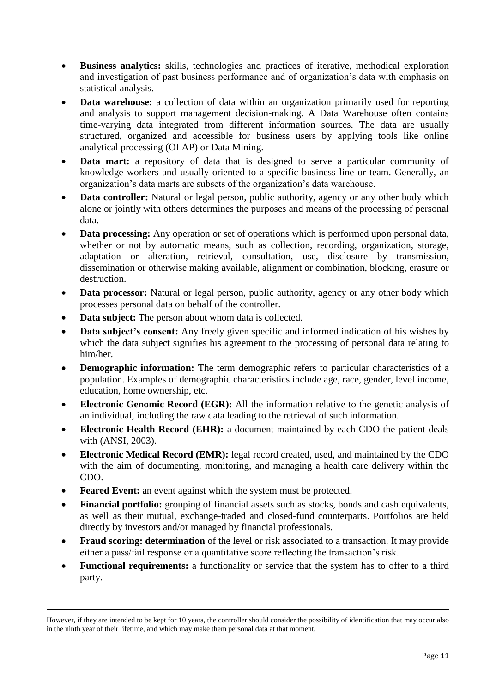- **Business analytics:** skills, technologies and practices of iterative, methodical exploration and investigation of past business performance and of organization's data with emphasis on statistical analysis.
- **Data warehouse:** a collection of data within an organization primarily used for reporting and analysis to support management decision-making. A Data Warehouse often contains time-varying data integrated from different information sources. The data are usually structured, organized and accessible for business users by applying tools like online analytical processing (OLAP) or Data Mining.
- **Data mart:** a repository of data that is designed to serve a particular community of knowledge workers and usually oriented to a specific business line or team. Generally, an organization's data marts are subsets of the organization's data warehouse.
- **Data controller:** Natural or legal person, public authority, agency or any other body which alone or jointly with others determines the purposes and means of the processing of personal data.
- **Data processing:** Any operation or set of operations which is performed upon personal data, whether or not by automatic means, such as collection, recording, organization, storage, adaptation or alteration, retrieval, consultation, use, disclosure by transmission, dissemination or otherwise making available, alignment or combination, blocking, erasure or destruction.
- **Data processor:** Natural or legal person, public authority, agency or any other body which processes personal data on behalf of the controller.
- **Data subject:** The person about whom data is collected.
- **Data subject's consent:** Any freely given specific and informed indication of his wishes by which the data subject signifies his agreement to the processing of personal data relating to him/her.
- **Demographic information:** The term demographic refers to particular characteristics of a population. Examples of demographic characteristics include age, race, gender, level income, education, home ownership, etc.
- **Electronic Genomic Record (EGR):** All the information relative to the genetic analysis of an individual, including the raw data leading to the retrieval of such information.
- **Electronic Health Record (EHR):** a document maintained by each CDO the patient deals with (ANSI, 2003).
- **Electronic Medical Record (EMR):** legal record created, used, and maintained by the CDO with the aim of documenting, monitoring, and managing a health care delivery within the CDO.
- **Feared Event:** an event against which the system must be protected.

<u>.</u>

- **Financial portfolio:** grouping of financial assets such as stocks, bonds and cash equivalents, as well as their mutual, exchange-traded and closed-fund counterparts. Portfolios are held directly by investors and/or managed by financial professionals.
- **Fraud scoring: determination** of the level or risk associated to a transaction. It may provide either a pass/fail response or a quantitative score reflecting the transaction's risk.
- **Functional requirements:** a functionality or service that the system has to offer to a third party.

However, if they are intended to be kept for 10 years, the controller should consider the possibility of identification that may occur also in the ninth year of their lifetime, and which may make them personal data at that moment.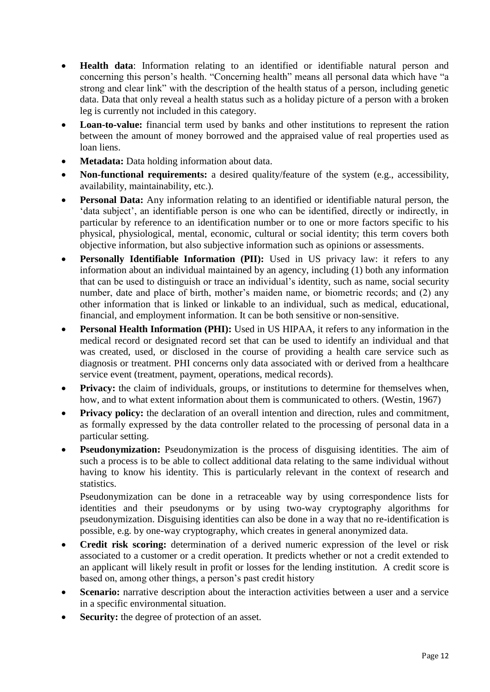- **Health data**: Information relating to an identified or identifiable natural person and concerning this person's health. "Concerning health" means all personal data which have "a strong and clear link" with the description of the health status of a person, including genetic data. Data that only reveal a health status such as a holiday picture of a person with a broken leg is currently not included in this category.
- **Loan-to-value:** financial term used by banks and other institutions to represent the ration between the amount of money borrowed and the appraised value of real properties used as loan liens.
- **Metadata:** Data holding information about data.
- **Non-functional requirements:** a desired quality/feature of the system (e.g., accessibility, availability, maintainability, etc.).
- **Personal Data:** Any information relating to an identified or identifiable natural person, the 'data subject', an identifiable person is one who can be identified, directly or indirectly, in particular by reference to an identification number or to one or more factors specific to his physical, physiological, mental, economic, cultural or social identity; this term covers both objective information, but also subjective information such as opinions or assessments.
- **•** Personally Identifiable Information (PII): Used in US privacy law: it refers to any information about an individual maintained by an agency, including (1) both any information that can be used to distinguish or trace an individual's identity, such as name, social security number, date and place of birth, mother's maiden name, or biometric records; and (2) any other information that is linked or linkable to an individual, such as medical, educational, financial, and employment information. It can be both sensitive or non-sensitive.
- **Personal Health Information (PHI):** Used in US HIPAA, it refers to any information in the medical record or designated record set that can be used to identify an individual and that was created, used, or disclosed in the course of providing a health care service such as diagnosis or treatment. PHI concerns only data associated with or derived from a healthcare service event (treatment, payment, operations, medical records).
- **Privacy:** the claim of individuals, groups, or institutions to determine for themselves when, how, and to what extent information about them is communicated to others. (Westin, 1967)
- **Privacy policy:** the declaration of an overall intention and direction, rules and commitment, as formally expressed by the data controller related to the processing of personal data in a particular setting.
- **Pseudonymization:** Pseudonymization is the process of disguising identities. The aim of such a process is to be able to collect additional data relating to the same individual without having to know his identity. This is particularly relevant in the context of research and statistics.

Pseudonymization can be done in a retraceable way by using correspondence lists for identities and their pseudonyms or by using two-way cryptography algorithms for pseudonymization. Disguising identities can also be done in a way that no re-identification is possible, e.g. by one-way cryptography, which creates in general anonymized data.

- **Credit risk scoring:** determination of a derived numeric expression of the level or risk associated to a customer or a credit operation. It predicts whether or not a credit extended to an applicant will likely result in profit or losses for the lending institution. A credit score is based on, among other things, a person's past credit history
- **Scenario:** narrative description about the interaction activities between a user and a service in a specific environmental situation.
- **Security:** the degree of protection of an asset.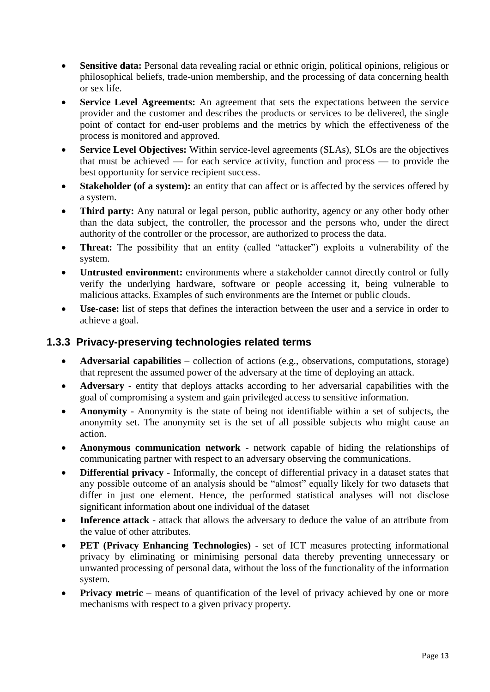- **Sensitive data:** Personal data revealing racial or ethnic origin, political opinions, religious or philosophical beliefs, trade-union membership, and the processing of data concerning health or sex life.
- **Service Level Agreements:** An agreement that sets the expectations between the service provider and the customer and describes the products or services to be delivered, the single point of contact for end-user problems and the metrics by which the effectiveness of the process is monitored and approved.
- **Service Level Objectives:** Within service-level agreements (SLAs), SLOs are the objectives that must be achieved — for each service activity, function and process — to provide the best opportunity for service recipient success.
- **Stakeholder (of a system):** an entity that can affect or is affected by the services offered by a system.
- **Third party:** Any natural or legal person, public authority, agency or any other body other than the data subject, the controller, the processor and the persons who, under the direct authority of the controller or the processor, are authorized to process the data.
- **Threat:** The possibility that an entity (called "attacker") exploits a vulnerability of the system.
- **Untrusted environment:** environments where a stakeholder cannot directly control or fully verify the underlying hardware, software or people accessing it, being vulnerable to malicious attacks. Examples of such environments are the Internet or public clouds.
- **Use-case:** list of steps that defines the interaction between the user and a service in order to achieve a goal.

#### <span id="page-12-0"></span>**1.3.3 Privacy-preserving technologies related terms**

- **Adversarial capabilities** collection of actions (e.g., observations, computations, storage) that represent the assumed power of the adversary at the time of deploying an attack.
- **Adversary**  entity that deploys attacks according to her adversarial capabilities with the goal of compromising a system and gain privileged access to sensitive information.
- **Anonymity**  Anonymity is the state of being not identifiable within a set of subjects, the anonymity set. The anonymity set is the set of all possible subjects who might cause an action.
- **Anonymous communication network** network capable of hiding the relationships of communicating partner with respect to an adversary observing the communications.
- **Differential privacy** Informally, the concept of differential privacy in a dataset states that any possible outcome of an analysis should be "almost" equally likely for two datasets that differ in just one element. Hence, the performed statistical analyses will not disclose significant information about one individual of the dataset
- **Inference attack** attack that allows the adversary to deduce the value of an attribute from the value of other attributes.
- **PET (Privacy Enhancing Technologies)** set of ICT measures protecting informational privacy by eliminating or minimising personal data thereby preventing unnecessary or unwanted processing of personal data, without the loss of the functionality of the information system.
- **Privacy metric** means of quantification of the level of privacy achieved by one or more mechanisms with respect to a given privacy property.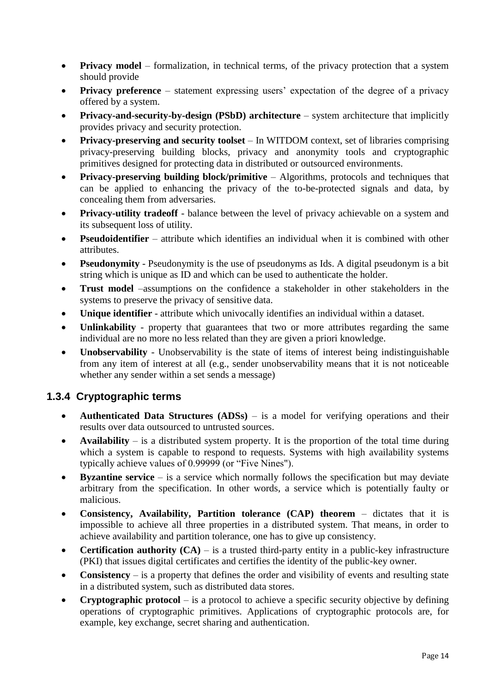- **Privacy model** formalization, in technical terms, of the privacy protection that a system should provide
- **Privacy preference** statement expressing users' expectation of the degree of a privacy offered by a system.
- **Privacy-and-security-by-design (PSbD) architecture** system architecture that implicitly provides privacy and security protection.
- **Privacy-preserving and security toolset** In WITDOM context, set of libraries comprising privacy-preserving building blocks, privacy and anonymity tools and cryptographic primitives designed for protecting data in distributed or outsourced environments.
- **Privacy-preserving building block/primitive** Algorithms, protocols and techniques that can be applied to enhancing the privacy of the to-be-protected signals and data, by concealing them from adversaries.
- **Privacy-utility tradeoff** balance between the level of privacy achievable on a system and its subsequent loss of utility.
- **Pseudoidentifier** attribute which identifies an individual when it is combined with other attributes.
- **Pseudonymity** Pseudonymity is the use of pseudonyms as Ids. A digital pseudonym is a bit string which is unique as ID and which can be used to authenticate the holder.
- **Trust model** –assumptions on the confidence a stakeholder in other stakeholders in the systems to preserve the privacy of sensitive data.
- **Unique identifier** attribute which univocally identifies an individual within a dataset.
- **Unlinkability**  property that guarantees that two or more attributes regarding the same individual are no more no less related than they are given a priori knowledge.
- **Unobservability**  Unobservability is the state of items of interest being indistinguishable from any item of interest at all (e.g., sender unobservability means that it is not noticeable whether any sender within a set sends a message)

### <span id="page-13-0"></span>**1.3.4 Cryptographic terms**

- **Authenticated Data Structures (ADSs)** is a model for verifying operations and their results over data outsourced to untrusted sources.
- **Availability** is a distributed system property. It is the proportion of the total time during which a system is capable to respond to requests. Systems with high availability systems typically achieve values of 0.99999 (or "Five Nines").
- **Byzantine service** is a service which normally follows the specification but may deviate arbitrary from the specification. In other words, a service which is potentially faulty or malicious.
- **Consistency, Availability, Partition tolerance (CAP) theorem** dictates that it is impossible to achieve all three properties in a distributed system. That means, in order to achieve availability and partition tolerance, one has to give up consistency.
- **• Certification authority**  $(CA)$  is a trusted third-party entity in a public-key infrastructure (PKI) that issues digital certificates and certifies the identity of the public-key owner.
- **Consistency** is a property that defines the order and visibility of events and resulting state in a distributed system, such as distributed data stores.
- **Cryptographic protocol** is a protocol to achieve a specific security objective by defining operations of cryptographic primitives. Applications of cryptographic protocols are, for example, key exchange, secret sharing and authentication.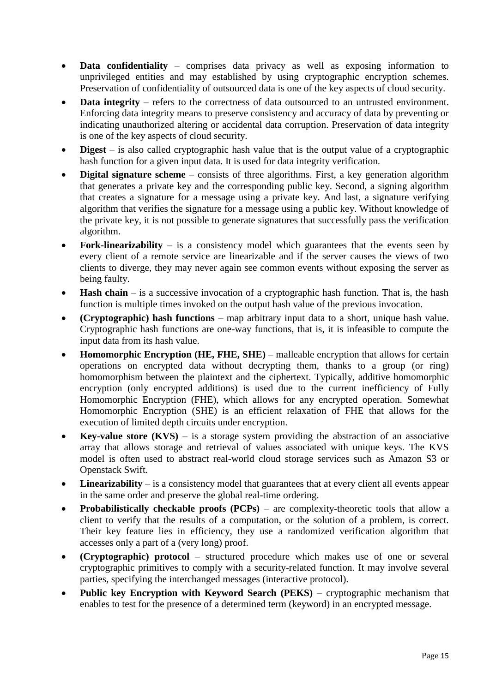- **Data confidentiality** comprises data privacy as well as exposing information to unprivileged entities and may established by using cryptographic encryption schemes. Preservation of confidentiality of outsourced data is one of the key aspects of cloud security.
- **Data integrity** refers to the correctness of data outsourced to an untrusted environment. Enforcing data integrity means to preserve consistency and accuracy of data by preventing or indicating unauthorized altering or accidental data corruption. Preservation of data integrity is one of the key aspects of cloud security.
- **Digest** is also called cryptographic hash value that is the output value of a cryptographic hash function for a given input data. It is used for data integrity verification.
- **Digital signature scheme** consists of three algorithms. First, a key generation algorithm that generates a private key and the corresponding public key. Second, a signing algorithm that creates a signature for a message using a private key. And last, a signature verifying algorithm that verifies the signature for a message using a public key. Without knowledge of the private key, it is not possible to generate signatures that successfully pass the verification algorithm.
- Fork-linearizability is a consistency model which guarantees that the events seen by every client of a remote service are linearizable and if the server causes the views of two clients to diverge, they may never again see common events without exposing the server as being faulty.
- **Hash chain** is a successive invocation of a cryptographic hash function. That is, the hash function is multiple times invoked on the output hash value of the previous invocation.
- **(Cryptographic) hash functions** map arbitrary input data to a short, unique hash value. Cryptographic hash functions are one-way functions, that is, it is infeasible to compute the input data from its hash value.
- **Homomorphic Encryption (HE, FHE, SHE)** malleable encryption that allows for certain operations on encrypted data without decrypting them, thanks to a group (or ring) homomorphism between the plaintext and the ciphertext. Typically, additive homomorphic encryption (only encrypted additions) is used due to the current inefficiency of Fully Homomorphic Encryption (FHE), which allows for any encrypted operation. Somewhat Homomorphic Encryption (SHE) is an efficient relaxation of FHE that allows for the execution of limited depth circuits under encryption.
- **Key-value store (KVS)** is a storage system providing the abstraction of an associative array that allows storage and retrieval of values associated with unique keys. The KVS model is often used to abstract real-world cloud storage services such as Amazon S3 or Openstack Swift.
- Linearizability is a consistency model that guarantees that at every client all events appear in the same order and preserve the global real-time ordering.
- **Probabilistically checkable proofs (PCPs)** are complexity-theoretic tools that allow a client to verify that the results of a computation, or the solution of a problem, is correct. Their key feature lies in efficiency, they use a randomized verification algorithm that accesses only a part of a (very long) proof.
- **(Cryptographic) protocol** structured procedure which makes use of one or several cryptographic primitives to comply with a security-related function. It may involve several parties, specifying the interchanged messages (interactive protocol).
- **Public key Encryption with Keyword Search (PEKS)** cryptographic mechanism that enables to test for the presence of a determined term (keyword) in an encrypted message.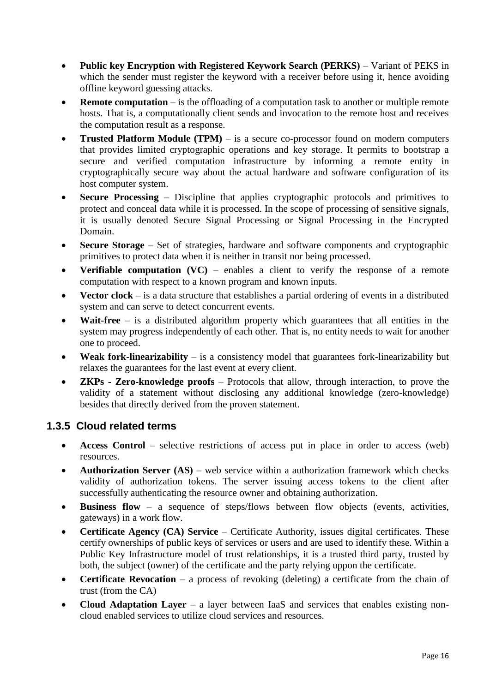- **Public key Encryption with Registered Keywork Search (PERKS)** Variant of PEKS in which the sender must register the keyword with a receiver before using it, hence avoiding offline keyword guessing attacks.
- **Remote computation** is the offloading of a computation task to another or multiple remote hosts. That is, a computationally client sends and invocation to the remote host and receives the computation result as a response.
- **Trusted Platform Module (TPM)** is a secure co-processor found on modern computers that provides limited cryptographic operations and key storage. It permits to bootstrap a secure and verified computation infrastructure by informing a remote entity in cryptographically secure way about the actual hardware and software configuration of its host computer system.
- **Secure Processing** Discipline that applies cryptographic protocols and primitives to protect and conceal data while it is processed. In the scope of processing of sensitive signals, it is usually denoted Secure Signal Processing or Signal Processing in the Encrypted Domain.
- **Secure Storage** Set of strategies, hardware and software components and cryptographic primitives to protect data when it is neither in transit nor being processed.
- **Verifiable computation (VC)** enables a client to verify the response of a remote computation with respect to a known program and known inputs.
- **Vector clock** is a data structure that establishes a partial ordering of events in a distributed system and can serve to detect concurrent events.
- Wait-free is a distributed algorithm property which guarantees that all entities in the system may progress independently of each other. That is, no entity needs to wait for another one to proceed.
- **Weak fork-linearizability** is a consistency model that guarantees fork-linearizability but relaxes the guarantees for the last event at every client.
- **ZKPs - Zero-knowledge proofs** Protocols that allow, through interaction, to prove the validity of a statement without disclosing any additional knowledge (zero-knowledge) besides that directly derived from the proven statement.

#### <span id="page-15-0"></span>**1.3.5 Cloud related terms**

- **Access Control** selective restrictions of access put in place in order to access (web) resources.
- **Authorization Server (AS)** web service within a authorization framework which checks validity of authorization tokens. The server issuing access tokens to the client after successfully authenticating the resource owner and obtaining authorization.
- Business flow a sequence of steps/flows between flow objects (events, activities, gateways) in a work flow.
- **Certificate Agency (CA) Service** Certificate Authority, issues digital certificates. These certify ownerships of public keys of services or users and are used to identify these. Within a Public Key Infrastructure model of trust relationships, it is a trusted third party, trusted by both, the subject (owner) of the certificate and the party relying uppon the certificate.
- **Certificate Revocation** a process of revoking (deleting) a certificate from the chain of trust (from the CA)
- **Cloud Adaptation Layer** a layer between IaaS and services that enables existing noncloud enabled services to utilize cloud services and resources.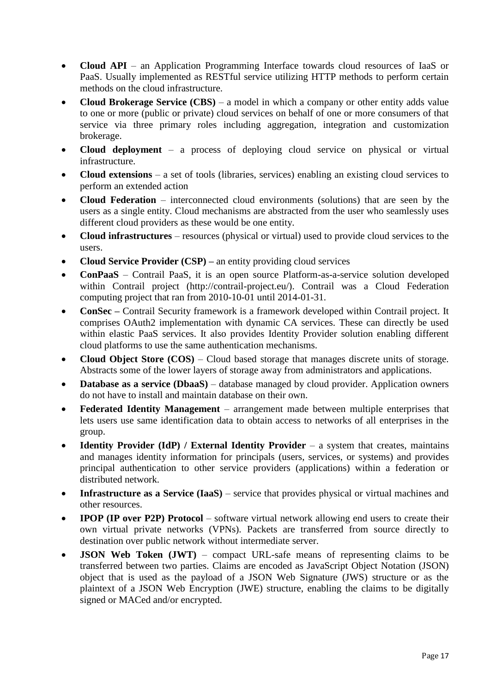- **Cloud API** an Application Programming Interface towards cloud resources of IaaS or PaaS. Usually implemented as RESTful service utilizing HTTP methods to perform certain methods on the cloud infrastructure.
- **Cloud Brokerage Service (CBS)** a model in which a company or other entity adds value to one or more (public or private) cloud services on behalf of one or more consumers of that service via three primary roles including aggregation, integration and customization brokerage.
- **Cloud deployment** a process of deploying cloud service on physical or virtual infrastructure.
- **Cloud extensions** a set of tools (libraries, services) enabling an existing cloud services to perform an extended action
- **Cloud Federation** interconnected cloud environments (solutions) that are seen by the users as a single entity. Cloud mechanisms are abstracted from the user who seamlessly uses different cloud providers as these would be one entity.
- **Cloud infrastructures** resources (physical or virtual) used to provide cloud services to the users.
- **Cloud Service Provider (CSP) –** an entity providing cloud services
- **ConPaaS** Contrail PaaS, it is an open source Platform-as-a-service solution developed within Contrail project (http://contrail-project.eu/). Contrail was a Cloud Federation computing project that ran from 2010-10-01 until 2014-01-31.
- **ConSec –** Contrail Security framework is a framework developed within Contrail project. It comprises OAuth2 implementation with dynamic CA services. These can directly be used within elastic PaaS services. It also provides Identity Provider solution enabling different cloud platforms to use the same authentication mechanisms.
- **Cloud Object Store (COS)** Cloud based storage that manages discrete units of storage. Abstracts some of the lower layers of storage away from administrators and applications.
- **Database as a service (DbaaS)** database managed by cloud provider. Application owners do not have to install and maintain database on their own.
- **Federated Identity Management** arrangement made between multiple enterprises that lets users use same identification data to obtain access to networks of all enterprises in the group.
- **Identity Provider (IdP) / External Identity Provider** a system that creates, maintains and manages identity information for principals (users, services, or systems) and provides principal authentication to other service providers (applications) within a federation or distributed network.
- **Infrastructure as a Service (IaaS)** service that provides physical or virtual machines and other resources.
- **IPOP (IP over P2P) Protocol** software virtual network allowing end users to create their own virtual private networks (VPNs). Packets are transferred from source directly to destination over public network without intermediate server.
- **JSON Web Token (JWT)** compact URL-safe means of representing claims to be transferred between two parties. Claims are encoded as JavaScript Object Notation (JSON) object that is used as the payload of a JSON Web Signature (JWS) structure or as the plaintext of a JSON Web Encryption (JWE) structure, enabling the claims to be digitally signed or MACed and/or encrypted.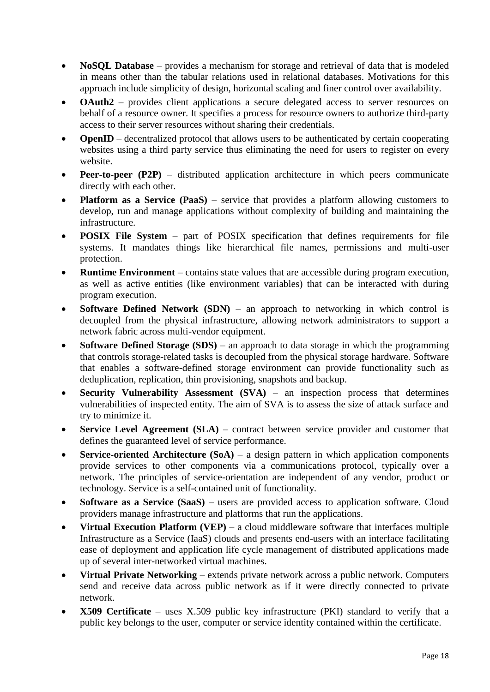- **NoSQL Database** provides a mechanism for storage and retrieval of data that is modeled in means other than the tabular relations used in relational databases. Motivations for this approach include simplicity of design, horizontal scaling and finer control over availability.
- **OAuth2** provides client applications a secure delegated access to server resources on behalf of a resource owner. It specifies a process for resource owners to authorize third-party access to their server resources without sharing their credentials.
- **OpenID** decentralized protocol that allows users to be authenticated by certain cooperating websites using a third party service thus eliminating the need for users to register on every website.
- **Peer-to-peer (P2P)** distributed application architecture in which peers communicate directly with each other.
- **Platform as a Service (PaaS)** service that provides a platform allowing customers to develop, run and manage applications without complexity of building and maintaining the infrastructure.
- **POSIX File System** part of POSIX specification that defines requirements for file systems. It mandates things like hierarchical file names, permissions and multi-user protection.
- **Runtime Environment** contains state values that are accessible during program execution, as well as active entities (like environment variables) that can be interacted with during program execution.
- **Software Defined Network (SDN)** an approach to networking in which control is decoupled from the physical infrastructure, allowing network administrators to support a network fabric across multi-vendor equipment.
- **Software Defined Storage (SDS)** an approach to data storage in which the programming that controls storage-related tasks is decoupled from the physical storage hardware. Software that enables a software-defined storage environment can provide functionality such as deduplication, replication, thin provisioning, snapshots and backup.
- **Security Vulnerability Assessment (SVA)** an inspection process that determines vulnerabilities of inspected entity. The aim of SVA is to assess the size of attack surface and try to minimize it.
- **Service Level Agreement (SLA)** contract between service provider and customer that defines the guaranteed level of service performance.
- **Service-oriented Architecture (SoA)** a design pattern in which application components provide services to other components via a communications protocol, typically over a network. The principles of service-orientation are independent of any vendor, product or technology. Service is a self-contained unit of functionality.
- **Software as a Service (SaaS)** users are provided access to application software. Cloud providers manage infrastructure and platforms that run the applications.
- **Virtual Execution Platform (VEP)** a cloud middleware software that interfaces multiple Infrastructure as a Service (IaaS) clouds and presents end-users with an interface facilitating ease of deployment and application life cycle management of distributed applications made up of several inter-networked virtual machines.
- **Virtual Private Networking**  extends private network across a public network. Computers send and receive data across public network as if it were directly connected to private network.
- **X509 Certificate** uses X.509 public key infrastructure (PKI) standard to verify that a public key belongs to the user, computer or service identity contained within the certificate.